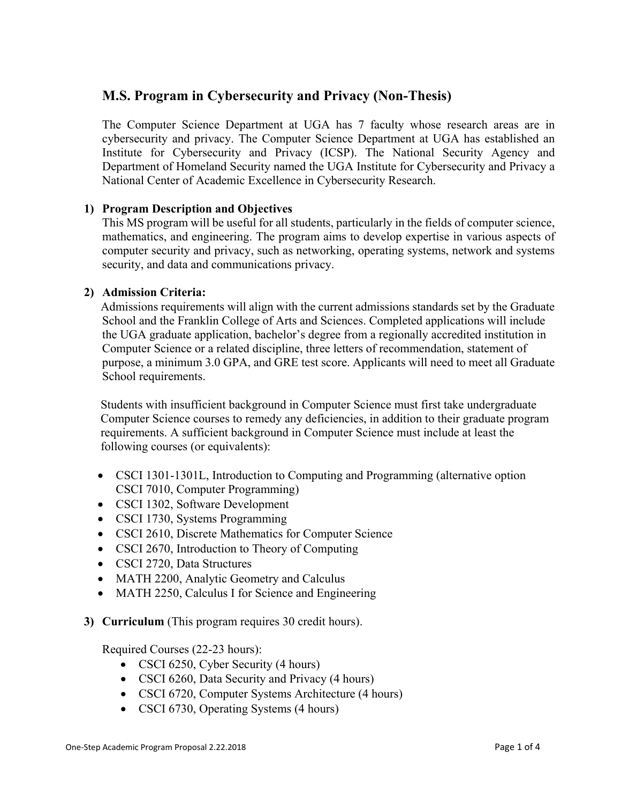## **M.S. Program in Cybersecurity and Privacy (Non-Thesis)**

The Computer Science Department at UGA has 7 faculty whose research areas are in cybersecurity and privacy. The Computer Science Department at UGA has established an Institute for Cybersecurity and Privacy (ICSP). The National Security Agency and Department of Homeland Security named the UGA Institute for Cybersecurity and Privacy a National Center of Academic Excellence in Cybersecurity Research.

### **1) Program Description and Objectives**

This MS program will be useful for all students, particularly in the fields of computer science, mathematics, and engineering. The program aims to develop expertise in various aspects of computer security and privacy, such as networking, operating systems, network and systems security, and data and communications privacy.

#### **2) Admission Criteria:**

Admissions requirements will align with the current admissions standards set by the Graduate School and the Franklin College of Arts and Sciences. Completed applications will include the UGA graduate application, bachelor's degree from a regionally accredited institution in Computer Science or a related discipline, three letters of recommendation, statement of purpose, a minimum 3.0 GPA, and GRE test score. Applicants will need to meet all Graduate School requirements.

Students with insufficient background in Computer Science must first take undergraduate Computer Science courses to remedy any deficiencies, in addition to their graduate program requirements. A sufficient background in Computer Science must include at least the following courses (or equivalents):

- CSCI 1301-1301L, Introduction to Computing and Programming (alternative option CSCI 7010, Computer Programming)
- CSCI 1302, Software Development
- CSCI 1730, Systems Programming
- CSCI 2610, Discrete Mathematics for Computer Science
- CSCI 2670, Introduction to Theory of Computing
- CSCI 2720, Data Structures
- MATH 2200, Analytic Geometry and Calculus
- MATH 2250, Calculus I for Science and Engineering
- **3) Curriculum** (This program requires 30 credit hours).

Required Courses (22-23 hours):

- CSCI 6250, Cyber Security (4 hours)
- CSCI 6260, Data Security and Privacy (4 hours)
- CSCI 6720, Computer Systems Architecture (4 hours)
- CSCI 6730, Operating Systems (4 hours)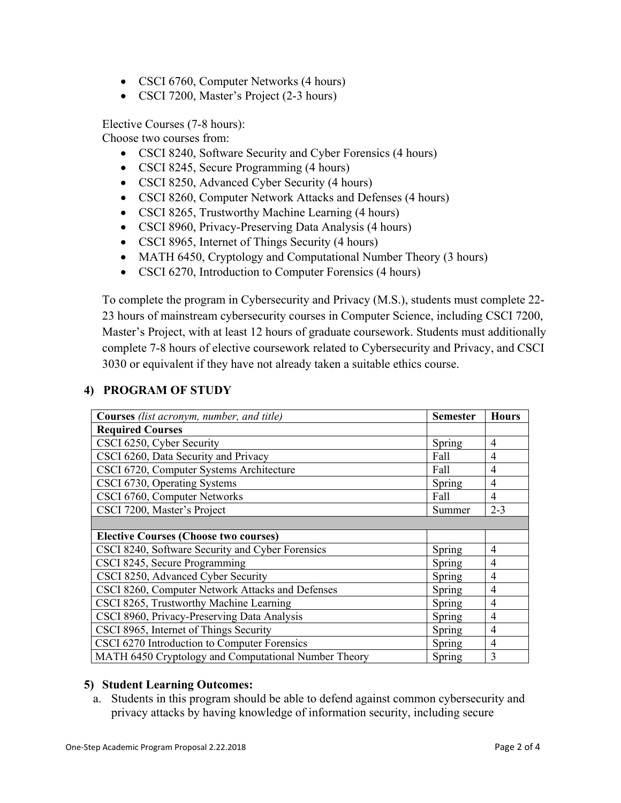- CSCI 6760, Computer Networks (4 hours)
- CSCI 7200, Master's Project (2-3 hours)

Elective Courses (7-8 hours):

Choose two courses from:

- CSCI 8240, Software Security and Cyber Forensics (4 hours)
- CSCI 8245, Secure Programming (4 hours)
- CSCI 8250, Advanced Cyber Security (4 hours)
- CSCI 8260, Computer Network Attacks and Defenses (4 hours)
- CSCI 8265, Trustworthy Machine Learning (4 hours)
- CSCI 8960, Privacy-Preserving Data Analysis (4 hours)
- CSCI 8965, Internet of Things Security (4 hours)
- MATH 6450, Cryptology and Computational Number Theory (3 hours)
- CSCI 6270, Introduction to Computer Forensics (4 hours)

To complete the program in Cybersecurity and Privacy (M.S.), students must complete 22- 23 hours of mainstream cybersecurity courses in Computer Science, including CSCI 7200, Master's Project, with at least 12 hours of graduate coursework. Students must additionally complete 7-8 hours of elective coursework related to Cybersecurity and Privacy, and CSCI 3030 or equivalent if they have not already taken a suitable ethics course.

## **4) PROGRAM OF STUDY**

| <b>Courses</b> (list acronym, number, and title)     | <b>Semester</b> | <b>Hours</b>   |
|------------------------------------------------------|-----------------|----------------|
| <b>Required Courses</b>                              |                 |                |
| CSCI 6250, Cyber Security                            | Spring          | 4              |
| CSCI 6260, Data Security and Privacy                 | Fall            | 4              |
| CSCI 6720, Computer Systems Architecture             |                 | 4              |
| CSCI 6730, Operating Systems                         |                 | 4              |
| CSCI 6760, Computer Networks                         |                 | $\overline{4}$ |
| CSCI 7200, Master's Project                          |                 | $2 - 3$        |
|                                                      |                 |                |
| <b>Elective Courses (Choose two courses)</b>         |                 |                |
| CSCI 8240, Software Security and Cyber Forensics     | Spring          | 4              |
| CSCI 8245, Secure Programming                        |                 | $\overline{4}$ |
| CSCI 8250, Advanced Cyber Security                   |                 | 4              |
| CSCI 8260, Computer Network Attacks and Defenses     |                 | 4              |
| CSCI 8265, Trustworthy Machine Learning              |                 | 4              |
| CSCI 8960, Privacy-Preserving Data Analysis          |                 | $\overline{4}$ |
| CSCI 8965, Internet of Things Security               |                 | $\overline{4}$ |
| CSCI 6270 Introduction to Computer Forensics         |                 | $\overline{4}$ |
| MATH 6450 Cryptology and Computational Number Theory |                 | 3              |

#### **5) Student Learning Outcomes:**

a. Students in this program should be able to defend against common cybersecurity and privacy attacks by having knowledge of information security, including secure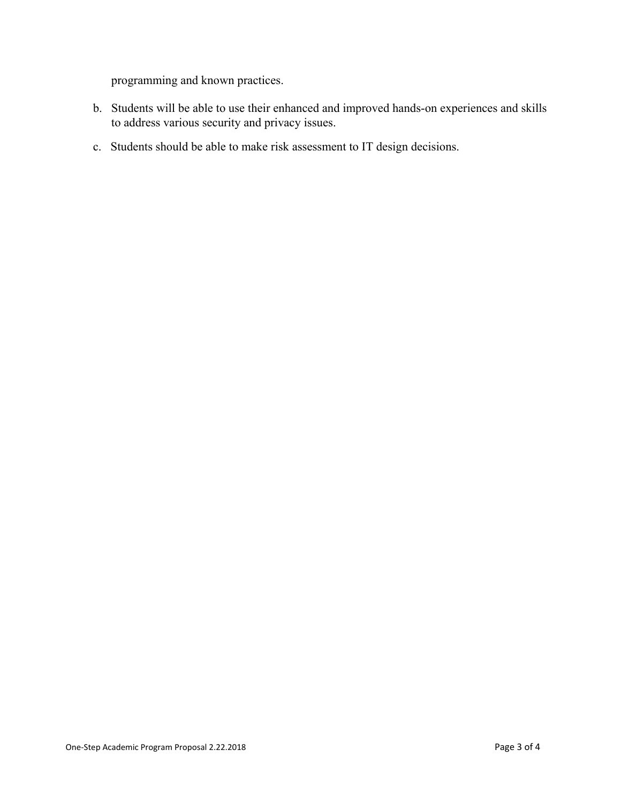programming and known practices.

- b. Students will be able to use their enhanced and improved hands-on experiences and skills to address various security and privacy issues.
- c. Students should be able to make risk assessment to IT design decisions.